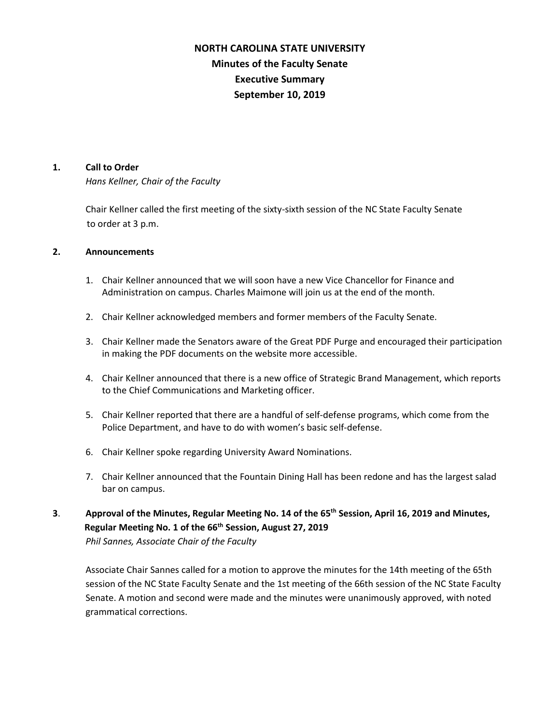# **NORTH CAROLINA STATE UNIVERSITY Minutes of the Faculty Senate Executive Summary September 10, 2019**

#### **1. Call to Order**

*Hans Kellner, Chair of the Faculty*

Chair Kellner called the first meeting of the sixty-sixth session of the NC State Faculty Senate to order at 3 p.m.

### **2. Announcements**

- 1. Chair Kellner announced that we will soon have a new Vice Chancellor for Finance and Administration on campus. Charles Maimone will join us at the end of the month.
- 2. Chair Kellner acknowledged members and former members of the Faculty Senate.
- 3. Chair Kellner made the Senators aware of the Great PDF Purge and encouraged their participation in making the PDF documents on the website more accessible.
- 4. Chair Kellner announced that there is a new office of Strategic Brand Management, which reports to the Chief Communications and Marketing officer.
- 5. Chair Kellner reported that there are a handful of self-defense programs, which come from the Police Department, and have to do with women's basic self-defense.
- 6. Chair Kellner spoke regarding University Award Nominations.
- 7. Chair Kellner announced that the Fountain Dining Hall has been redone and has the largest salad bar on campus.
- **3**. **Approval of the Minutes, Regular Meeting No. 14 of the 65th Session, April 16, 2019 and Minutes, Regular Meeting No. 1 of the 66th Session, August 27, 2019**

*Phil Sannes, Associate Chair of the Faculty*

Associate Chair Sannes called for a motion to approve the minutes for the 14th meeting of the 65th session of the NC State Faculty Senate and the 1st meeting of the 66th session of the NC State Faculty Senate. A motion and second were made and the minutes were unanimously approved, with noted grammatical corrections.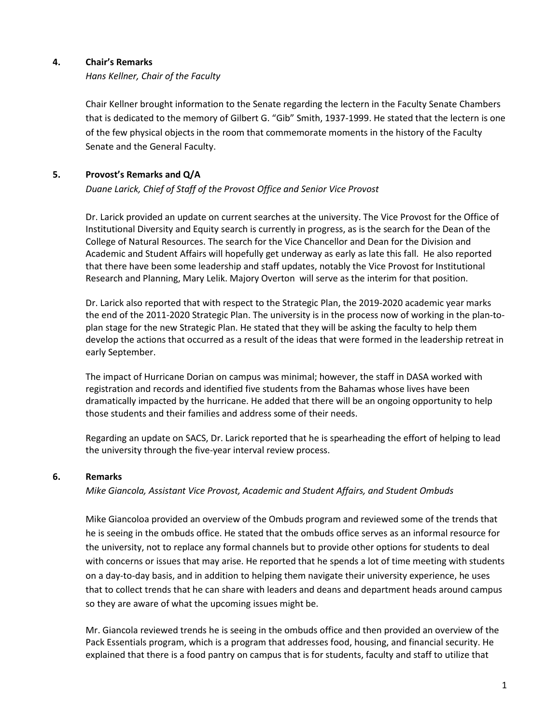### **4. Chair's Remarks**

### *Hans Kellner, Chair of the Faculty*

 Chair Kellner brought information to the Senate regarding the lectern in the Faculty Senate Chambers that is dedicated to the memory of Gilbert G. "Gib" Smith, 1937-1999. He stated that the lectern is one of the few physical objects in the room that commemorate moments in the history of the Faculty Senate and the General Faculty.

### **5. Provost's Remarks and Q/A**

### *Duane Larick, Chief of Staff of the Provost Office and Senior Vice Provost*

Dr. Larick provided an update on current searches at the university. The Vice Provost for the Office of Institutional Diversity and Equity search is currently in progress, as is the search for the Dean of the College of Natural Resources. The search for the Vice Chancellor and Dean for the Division and Academic and Student Affairs will hopefully get underway as early as late this fall. He also reported that there have been some leadership and staff updates, notably the Vice Provost for Institutional Research and Planning, Mary Lelik. Majory Overton will serve as the interim for that position.

Dr. Larick also reported that with respect to the Strategic Plan, the 2019-2020 academic year marks the end of the 2011-2020 Strategic Plan. The university is in the process now of working in the plan-toplan stage for the new Strategic Plan. He stated that they will be asking the faculty to help them develop the actions that occurred as a result of the ideas that were formed in the leadership retreat in early September.

The impact of Hurricane Dorian on campus was minimal; however, the staff in DASA worked with registration and records and identified five students from the Bahamas whose lives have been dramatically impacted by the hurricane. He added that there will be an ongoing opportunity to help those students and their families and address some of their needs.

Regarding an update on SACS, Dr. Larick reported that he is spearheading the effort of helping to lead the university through the five-year interval review process.

### **6. Remarks**

### *Mike Giancola, Assistant Vice Provost, Academic and Student Affairs, and Student Ombuds*

Mike Giancoloa provided an overview of the Ombuds program and reviewed some of the trends that he is seeing in the ombuds office. He stated that the ombuds office serves as an informal resource for the university, not to replace any formal channels but to provide other options for students to deal with concerns or issues that may arise. He reported that he spends a lot of time meeting with students on a day-to-day basis, and in addition to helping them navigate their university experience, he uses that to collect trends that he can share with leaders and deans and department heads around campus so they are aware of what the upcoming issues might be.

Mr. Giancola reviewed trends he is seeing in the ombuds office and then provided an overview of the Pack Essentials program, which is a program that addresses food, housing, and financial security. He explained that there is a food pantry on campus that is for students, faculty and staff to utilize that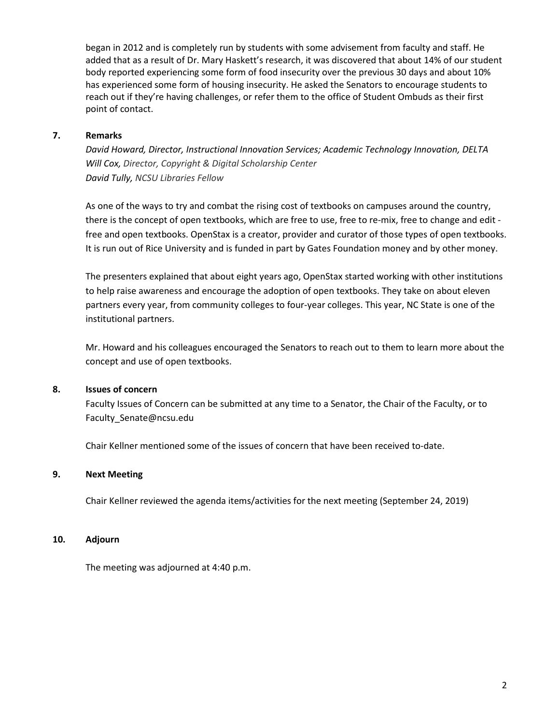began in 2012 and is completely run by students with some advisement from faculty and staff. He added that as a result of Dr. Mary Haskett's research, it was discovered that about 14% of our student body reported experiencing some form of food insecurity over the previous 30 days and about 10% has experienced some form of housing insecurity. He asked the Senators to encourage students to reach out if they're having challenges, or refer them to the office of Student Ombuds as their first point of contact.

### **7. Remarks**

*David Howard, Director, Instructional Innovation Services; Academic Technology Innovation, DELTA Will Cox, Director, Copyright & Digital Scholarship Center David Tully, NCSU Libraries Fellow*

As one of the ways to try and combat the rising cost of textbooks on campuses around the country, there is the concept of open textbooks, which are free to use, free to re-mix, free to change and edit free and open textbooks. OpenStax is a creator, provider and curator of those types of open textbooks. It is run out of Rice University and is funded in part by Gates Foundation money and by other money.

The presenters explained that about eight years ago, OpenStax started working with other institutions to help raise awareness and encourage the adoption of open textbooks. They take on about eleven partners every year, from community colleges to four-year colleges. This year, NC State is one of the institutional partners.

Mr. Howard and his colleagues encouraged the Senators to reach out to them to learn more about the concept and use of open textbooks.

### **8. Issues of concern**

 Faculty Issues of Concern can be submitted at any time to a Senator, the Chair of the Faculty, or to Faculty\_Senate@ncsu.edu

Chair Kellner mentioned some of the issues of concern that have been received to-date.

### **9. Next Meeting**

Chair Kellner reviewed the agenda items/activities for the next meeting (September 24, 2019)

### **10. Adjourn**

The meeting was adjourned at 4:40 p.m.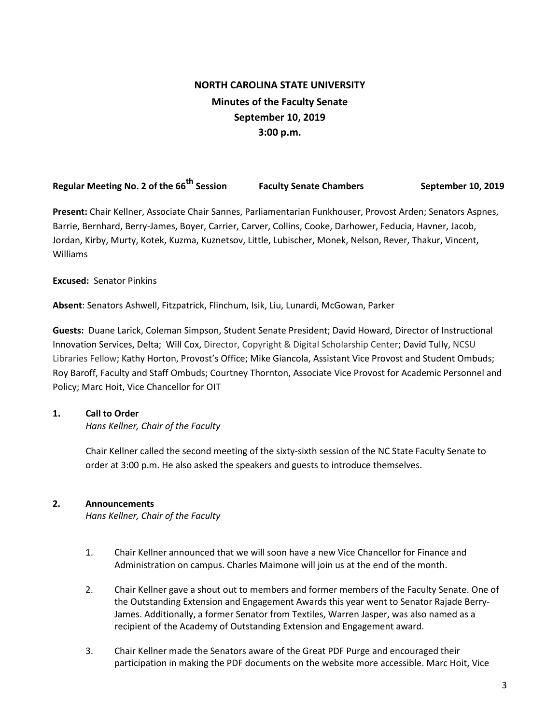# **NORTH CAROLINA STATE UNIVERSITY Minutes of the Faculty Senate September 10, 2019 3:00 p.m.**

**Regular Meeting No. 2 of the 66th Session Faculty Senate Chambers September 10, 2019**

**Present:** Chair Kellner, Associate Chair Sannes, Parliamentarian Funkhouser, Provost Arden; Senators Aspnes, Barrie, Bernhard, Berry-James, Boyer, Carrier, Carver, Collins, Cooke, Darhower, Feducia, Havner, Jacob, Jordan, Kirby, Murty, Kotek, Kuzma, Kuznetsov, Little, Lubischer, Monek, Nelson, Rever, Thakur, Vincent, Williams

### **Excused:** Senator Pinkins

**Absent**: Senators Ashwell, Fitzpatrick, Flinchum, Isik, Liu, Lunardi, McGowan, Parker

**Guests:** Duane Larick, Coleman Simpson, Student Senate President; David Howard, Director of Instructional Innovation Services, Delta; Will Cox, Director, Copyright & Digital Scholarship Center; David Tully, NCSU Libraries Fellow; Kathy Horton, Provost's Office; Mike Giancola, Assistant Vice Provost and Student Ombuds; Roy Baroff, Faculty and Staff Ombuds; Courtney Thornton, Associate Vice Provost for Academic Personnel and Policy; Marc Hoit, Vice Chancellor for OIT

## **1. Call to Order**

*Hans Kellner, Chair of the Faculty*

Chair Kellner called the second meeting of the sixty-sixth session of the NC State Faculty Senate to order at 3:00 p.m. He also asked the speakers and guests to introduce themselves.

## **2. Announcements**

*Hans Kellner, Chair of the Faculty*

- 1. Chair Kellner announced that we will soon have a new Vice Chancellor for Finance and Administration on campus. Charles Maimone will join us at the end of the month.
- 2. Chair Kellner gave a shout out to members and former members of the Faculty Senate. One of the Outstanding Extension and Engagement Awards this year went to Senator Rajade Berry-James. Additionally, a former Senator from Textiles, Warren Jasper, was also named as a recipient of the Academy of Outstanding Extension and Engagement award.
- 3. Chair Kellner made the Senators aware of the Great PDF Purge and encouraged their participation in making the PDF documents on the website more accessible. Marc Hoit, Vice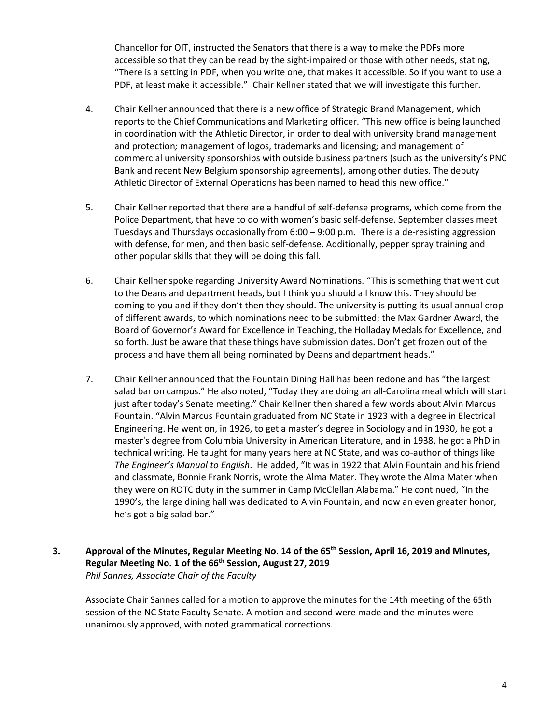Chancellor for OIT, instructed the Senators that there is a way to make the PDFs more accessible so that they can be read by the sight-impaired or those with other needs, stating, "There is a setting in PDF, when you write one, that makes it accessible. So if you want to use a PDF, at least make it accessible." Chair Kellner stated that we will investigate this further.

- 4. Chair Kellner announced that there is a new office of Strategic Brand Management, which reports to the Chief Communications and Marketing officer. "This new office is being launched in coordination with the Athletic Director, in order to deal with university brand management and protection*;* management of logos, trademarks and licensing*;* and management of commercial university sponsorships with outside business partners (such as the university's PNC Bank and recent New Belgium sponsorship agreements), among other duties. The deputy Athletic Director of External Operations has been named to head this new office."
- 5. Chair Kellner reported that there are a handful of self-defense programs, which come from the Police Department, that have to do with women's basic self-defense. September classes meet Tuesdays and Thursdays occasionally from  $6:00 - 9:00$  p.m. There is a de-resisting aggression with defense, for men, and then basic self-defense. Additionally, pepper spray training and other popular skills that they will be doing this fall.
- 6. Chair Kellner spoke regarding University Award Nominations. "This is something that went out to the Deans and department heads, but I think you should all know this. They should be coming to you and if they don't then they should. The university is putting its usual annual crop of different awards, to which nominations need to be submitted; the Max Gardner Award, the Board of Governor's Award for Excellence in Teaching, the Holladay Medals for Excellence, and so forth. Just be aware that these things have submission dates. Don't get frozen out of the process and have them all being nominated by Deans and department heads."
- 7. Chair Kellner announced that the Fountain Dining Hall has been redone and has "the largest salad bar on campus." He also noted, "Today they are doing an all-Carolina meal which will start just after today's Senate meeting." Chair Kellner then shared a few words about Alvin Marcus Fountain. "Alvin Marcus Fountain graduated from NC State in 1923 with a degree in Electrical Engineering. He went on, in 1926, to get a master's degree in Sociology and in 1930, he got a master's degree from Columbia University in American Literature, and in 1938, he got a PhD in technical writing. He taught for many years here at NC State, and was co-author of things like *The Engineer's Manual to English*. He added, "It was in 1922 that Alvin Fountain and his friend and classmate, Bonnie Frank Norris, wrote the Alma Mater. They wrote the Alma Mater when they were on ROTC duty in the summer in Camp McClellan Alabama." He continued, "In the 1990's, the large dining hall was dedicated to Alvin Fountain, and now an even greater honor, he's got a big salad bar."

### **3. Approval of the Minutes, Regular Meeting No. 14 of the 65th Session, April 16, 2019 and Minutes, Regular Meeting No. 1 of the 66th Session, August 27, 2019** *Phil Sannes, Associate Chair of the Faculty*

Associate Chair Sannes called for a motion to approve the minutes for the 14th meeting of the 65th session of the NC State Faculty Senate. A motion and second were made and the minutes were unanimously approved, with noted grammatical corrections.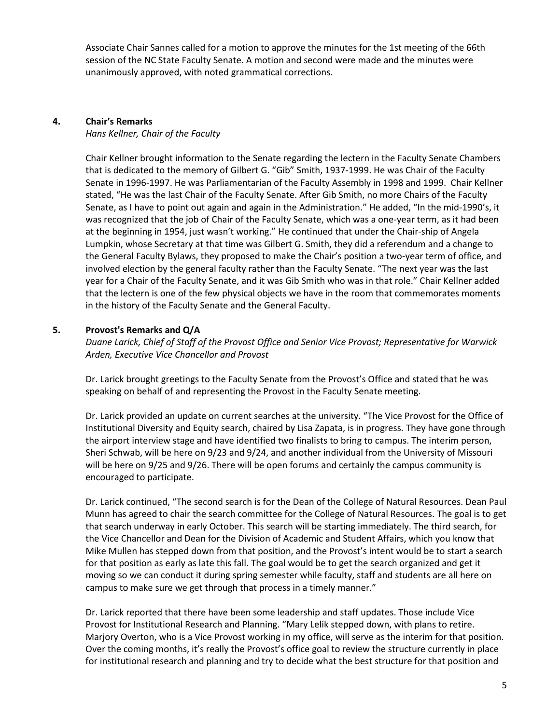Associate Chair Sannes called for a motion to approve the minutes for the 1st meeting of the 66th session of the NC State Faculty Senate. A motion and second were made and the minutes were unanimously approved, with noted grammatical corrections.

### **4. Chair's Remarks**

*Hans Kellner, Chair of the Faculty*

Chair Kellner brought information to the Senate regarding the lectern in the Faculty Senate Chambers that is dedicated to the memory of Gilbert G. "Gib" Smith, 1937-1999. He was Chair of the Faculty Senate in 1996-1997. He was Parliamentarian of the Faculty Assembly in 1998 and 1999. Chair Kellner stated, "He was the last Chair of the Faculty Senate. After Gib Smith, no more Chairs of the Faculty Senate, as I have to point out again and again in the Administration." He added, "In the mid-1990's, it was recognized that the job of Chair of the Faculty Senate, which was a one-year term, as it had been at the beginning in 1954, just wasn't working." He continued that under the Chair-ship of Angela Lumpkin, whose Secretary at that time was Gilbert G. Smith, they did a referendum and a change to the General Faculty Bylaws, they proposed to make the Chair's position a two-year term of office, and involved election by the general faculty rather than the Faculty Senate. "The next year was the last year for a Chair of the Faculty Senate, and it was Gib Smith who was in that role." Chair Kellner added that the lectern is one of the few physical objects we have in the room that commemorates moments in the history of the Faculty Senate and the General Faculty.

### **5. Provost's Remarks and Q/A**

*Duane Larick, Chief of Staff of the Provost Office and Senior Vice Provost; Representative for Warwick Arden, Executive Vice Chancellor and Provost*

Dr. Larick brought greetings to the Faculty Senate from the Provost's Office and stated that he was speaking on behalf of and representing the Provost in the Faculty Senate meeting.

Dr. Larick provided an update on current searches at the university. "The Vice Provost for the Office of Institutional Diversity and Equity search, chaired by Lisa Zapata, is in progress. They have gone through the airport interview stage and have identified two finalists to bring to campus. The interim person, Sheri Schwab, will be here on 9/23 and 9/24, and another individual from the University of Missouri will be here on 9/25 and 9/26. There will be open forums and certainly the campus community is encouraged to participate.

Dr. Larick continued, "The second search is for the Dean of the College of Natural Resources. Dean Paul Munn has agreed to chair the search committee for the College of Natural Resources. The goal is to get that search underway in early October. This search will be starting immediately. The third search, for the Vice Chancellor and Dean for the Division of Academic and Student Affairs, which you know that Mike Mullen has stepped down from that position, and the Provost's intent would be to start a search for that position as early as late this fall. The goal would be to get the search organized and get it moving so we can conduct it during spring semester while faculty, staff and students are all here on campus to make sure we get through that process in a timely manner."

Dr. Larick reported that there have been some leadership and staff updates. Those include Vice Provost for Institutional Research and Planning. "Mary Lelik stepped down, with plans to retire. Marjory Overton, who is a Vice Provost working in my office, will serve as the interim for that position. Over the coming months, it's really the Provost's office goal to review the structure currently in place for institutional research and planning and try to decide what the best structure for that position and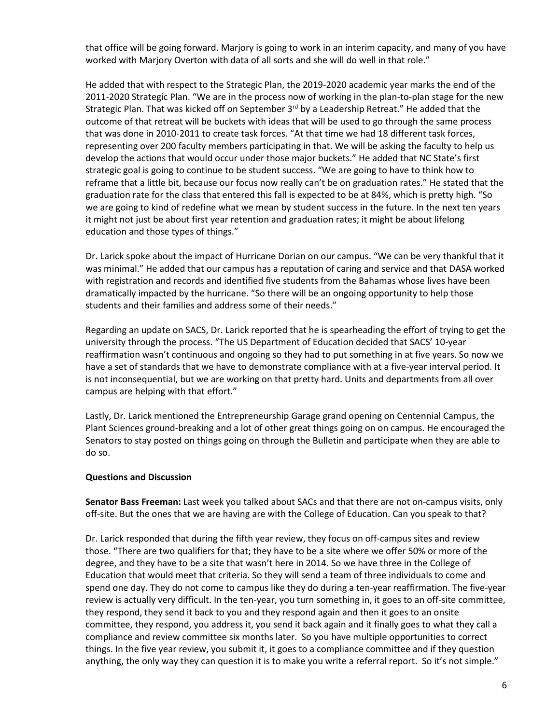that office will be going forward. Marjory is going to work in an interim capacity, and many of you have worked with Marjory Overton with data of all sorts and she will do well in that role."

He added that with respect to the Strategic Plan, the 2019-2020 academic year marks the end of the 2011-2020 Strategic Plan. "We are in the process now of working in the plan-to-plan stage for the new Strategic Plan. That was kicked off on September 3<sup>rd</sup> by a Leadership Retreat." He added that the outcome of that retreat will be buckets with ideas that will be used to go through the same process that was done in 2010-2011 to create task forces. "At that time we had 18 different task forces, representing over 200 faculty members participating in that. We will be asking the faculty to help us develop the actions that would occur under those major buckets." He added that NC State's first strategic goal is going to continue to be student success. "We are going to have to think how to reframe that a little bit, because our focus now really can't be on graduation rates." He stated that the graduation rate for the class that entered this fall is expected to be at 84%, which is pretty high. "So we are going to kind of redefine what we mean by student success in the future. In the next ten years it might not just be about first year retention and graduation rates; it might be about lifelong education and those types of things."

Dr. Larick spoke about the impact of Hurricane Dorian on our campus. "We can be very thankful that it was minimal." He added that our campus has a reputation of caring and service and that DASA worked with registration and records and identified five students from the Bahamas whose lives have been dramatically impacted by the hurricane. "So there will be an ongoing opportunity to help those students and their families and address some of their needs."

Regarding an update on SACS, Dr. Larick reported that he is spearheading the effort of trying to get the university through the process. "The US Department of Education decided that SACS' 10-year reaffirmation wasn't continuous and ongoing so they had to put something in at five years. So now we have a set of standards that we have to demonstrate compliance with at a five-year interval period. It is not inconsequential, but we are working on that pretty hard. Units and departments from all over campus are helping with that effort."

Lastly, Dr. Larick mentioned the Entrepreneurship Garage grand opening on Centennial Campus, the Plant Sciences ground-breaking and a lot of other great things going on on campus. He encouraged the Senators to stay posted on things going on through the Bulletin and participate when they are able to do so.

### **Questions and Discussion**

**Senator Bass Freeman:** Last week you talked about SACs and that there are not on-campus visits, only off-site. But the ones that we are having are with the College of Education. Can you speak to that?

Dr. Larick responded that during the fifth year review, they focus on off-campus sites and review those. "There are two qualifiers for that; they have to be a site where we offer 50% or more of the degree, and they have to be a site that wasn't here in 2014. So we have three in the College of Education that would meet that criteria. So they will send a team of three individuals to come and spend one day. They do not come to campus like they do during a ten-year reaffirmation. The five-year review is actually very difficult. In the ten-year, you turn something in, it goes to an off-site committee, they respond, they send it back to you and they respond again and then it goes to an onsite committee, they respond, you address it, you send it back again and it finally goes to what they call a compliance and review committee six months later. So you have multiple opportunities to correct things. In the five year review, you submit it, it goes to a compliance committee and if they question anything, the only way they can question it is to make you write a referral report. So it's not simple."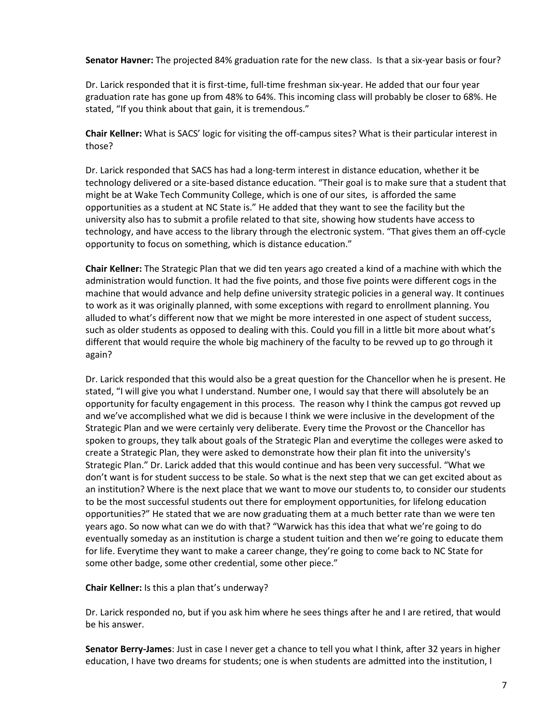**Senator Havner:** The projected 84% graduation rate for the new class. Is that a six-year basis or four?

Dr. Larick responded that it is first-time, full-time freshman six-year. He added that our four year graduation rate has gone up from 48% to 64%. This incoming class will probably be closer to 68%. He stated, "If you think about that gain, it is tremendous."

**Chair Kellner:** What is SACS' logic for visiting the off-campus sites? What is their particular interest in those?

Dr. Larick responded that SACS has had a long-term interest in distance education, whether it be technology delivered or a site-based distance education. "Their goal is to make sure that a student that might be at Wake Tech Community College, which is one of our sites, is afforded the same opportunities as a student at NC State is." He added that they want to see the facility but the university also has to submit a profile related to that site, showing how students have access to technology, and have access to the library through the electronic system. "That gives them an off-cycle opportunity to focus on something, which is distance education."

**Chair Kellner:** The Strategic Plan that we did ten years ago created a kind of a machine with which the administration would function. It had the five points, and those five points were different cogs in the machine that would advance and help define university strategic policies in a general way. It continues to work as it was originally planned, with some exceptions with regard to enrollment planning. You alluded to what's different now that we might be more interested in one aspect of student success, such as older students as opposed to dealing with this. Could you fill in a little bit more about what's different that would require the whole big machinery of the faculty to be revved up to go through it again?

Dr. Larick responded that this would also be a great question for the Chancellor when he is present. He stated, "I will give you what I understand. Number one, I would say that there will absolutely be an opportunity for faculty engagement in this process. The reason why I think the campus got revved up and we've accomplished what we did is because I think we were inclusive in the development of the Strategic Plan and we were certainly very deliberate. Every time the Provost or the Chancellor has spoken to groups, they talk about goals of the Strategic Plan and everytime the colleges were asked to create a Strategic Plan, they were asked to demonstrate how their plan fit into the university's Strategic Plan." Dr. Larick added that this would continue and has been very successful. "What we don't want is for student success to be stale. So what is the next step that we can get excited about as an institution? Where is the next place that we want to move our students to, to consider our students to be the most successful students out there for employment opportunities, for lifelong education opportunities?" He stated that we are now graduating them at a much better rate than we were ten years ago. So now what can we do with that? "Warwick has this idea that what we're going to do eventually someday as an institution is charge a student tuition and then we're going to educate them for life. Everytime they want to make a career change, they're going to come back to NC State for some other badge, some other credential, some other piece."

**Chair Kellner:** Is this a plan that's underway?

Dr. Larick responded no, but if you ask him where he sees things after he and I are retired, that would be his answer.

**Senator Berry-James**: Just in case I never get a chance to tell you what I think, after 32 years in higher education, I have two dreams for students; one is when students are admitted into the institution, I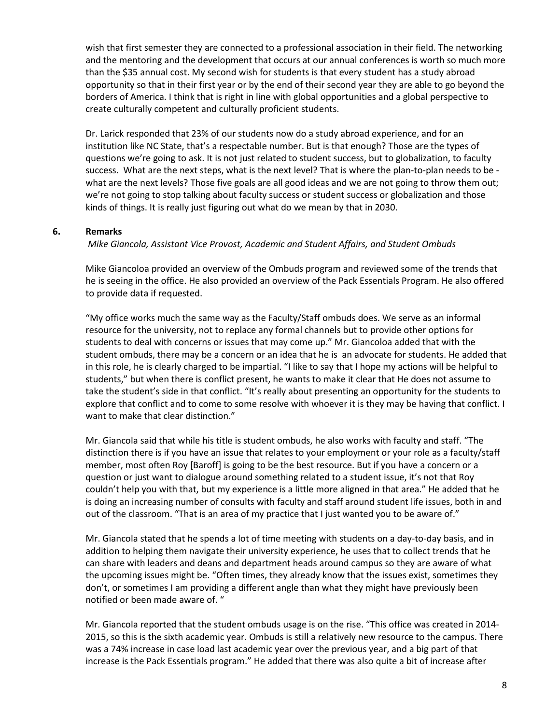wish that first semester they are connected to a professional association in their field. The networking and the mentoring and the development that occurs at our annual conferences is worth so much more than the \$35 annual cost. My second wish for students is that every student has a study abroad opportunity so that in their first year or by the end of their second year they are able to go beyond the borders of America. I think that is right in line with global opportunities and a global perspective to create culturally competent and culturally proficient students.

Dr. Larick responded that 23% of our students now do a study abroad experience, and for an institution like NC State, that's a respectable number. But is that enough? Those are the types of questions we're going to ask. It is not just related to student success, but to globalization, to faculty success. What are the next steps, what is the next level? That is where the plan-to-plan needs to be what are the next levels? Those five goals are all good ideas and we are not going to throw them out; we're not going to stop talking about faculty success or student success or globalization and those kinds of things. It is really just figuring out what do we mean by that in 2030.

### **6. Remarks**

*Mike Giancola, Assistant Vice Provost, Academic and Student Affairs, and Student Ombuds*

Mike Giancoloa provided an overview of the Ombuds program and reviewed some of the trends that he is seeing in the office. He also provided an overview of the Pack Essentials Program. He also offered to provide data if requested.

"My office works much the same way as the Faculty/Staff ombuds does. We serve as an informal resource for the university, not to replace any formal channels but to provide other options for students to deal with concerns or issues that may come up." Mr. Giancoloa added that with the student ombuds, there may be a concern or an idea that he is an advocate for students. He added that in this role, he is clearly charged to be impartial. "I like to say that I hope my actions will be helpful to students," but when there is conflict present, he wants to make it clear that He does not assume to take the student's side in that conflict. "It's really about presenting an opportunity for the students to explore that conflict and to come to some resolve with whoever it is they may be having that conflict. I want to make that clear distinction."

Mr. Giancola said that while his title is student ombuds, he also works with faculty and staff. "The distinction there is if you have an issue that relates to your employment or your role as a faculty/staff member, most often Roy [Baroff] is going to be the best resource. But if you have a concern or a question or just want to dialogue around something related to a student issue, it's not that Roy couldn't help you with that, but my experience is a little more aligned in that area." He added that he is doing an increasing number of consults with faculty and staff around student life issues, both in and out of the classroom. "That is an area of my practice that I just wanted you to be aware of."

Mr. Giancola stated that he spends a lot of time meeting with students on a day-to-day basis, and in addition to helping them navigate their university experience, he uses that to collect trends that he can share with leaders and deans and department heads around campus so they are aware of what the upcoming issues might be. "Often times, they already know that the issues exist, sometimes they don't, or sometimes I am providing a different angle than what they might have previously been notified or been made aware of. "

Mr. Giancola reported that the student ombuds usage is on the rise. "This office was created in 2014- 2015, so this is the sixth academic year. Ombuds is still a relatively new resource to the campus. There was a 74% increase in case load last academic year over the previous year, and a big part of that increase is the Pack Essentials program." He added that there was also quite a bit of increase after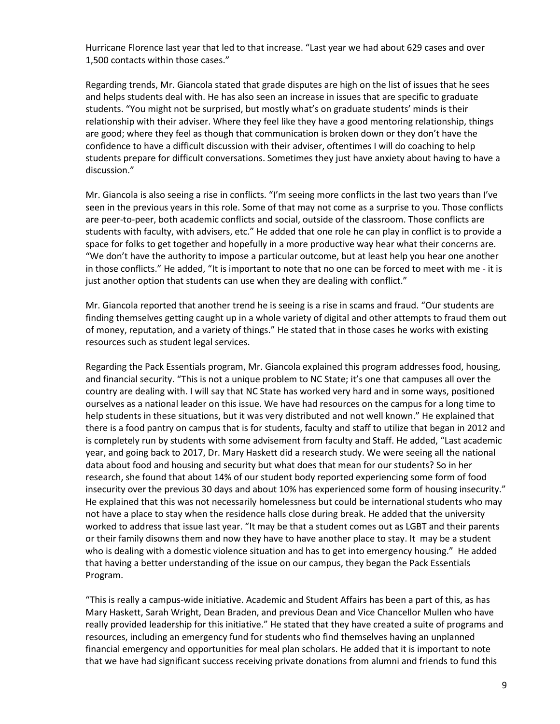Hurricane Florence last year that led to that increase. "Last year we had about 629 cases and over 1,500 contacts within those cases."

Regarding trends, Mr. Giancola stated that grade disputes are high on the list of issues that he sees and helps students deal with. He has also seen an increase in issues that are specific to graduate students. "You might not be surprised, but mostly what's on graduate students' minds is their relationship with their adviser. Where they feel like they have a good mentoring relationship, things are good; where they feel as though that communication is broken down or they don't have the confidence to have a difficult discussion with their adviser, oftentimes I will do coaching to help students prepare for difficult conversations. Sometimes they just have anxiety about having to have a discussion."

Mr. Giancola is also seeing a rise in conflicts. "I'm seeing more conflicts in the last two years than I've seen in the previous years in this role. Some of that may not come as a surprise to you. Those conflicts are peer-to-peer, both academic conflicts and social, outside of the classroom. Those conflicts are students with faculty, with advisers, etc." He added that one role he can play in conflict is to provide a space for folks to get together and hopefully in a more productive way hear what their concerns are. "We don't have the authority to impose a particular outcome, but at least help you hear one another in those conflicts." He added, "It is important to note that no one can be forced to meet with me - it is just another option that students can use when they are dealing with conflict."

Mr. Giancola reported that another trend he is seeing is a rise in scams and fraud. "Our students are finding themselves getting caught up in a whole variety of digital and other attempts to fraud them out of money, reputation, and a variety of things." He stated that in those cases he works with existing resources such as student legal services.

Regarding the Pack Essentials program, Mr. Giancola explained this program addresses food, housing, and financial security. "This is not a unique problem to NC State; it's one that campuses all over the country are dealing with. I will say that NC State has worked very hard and in some ways, positioned ourselves as a national leader on this issue. We have had resources on the campus for a long time to help students in these situations, but it was very distributed and not well known." He explained that there is a food pantry on campus that is for students, faculty and staff to utilize that began in 2012 and is completely run by students with some advisement from faculty and Staff. He added, "Last academic year, and going back to 2017, Dr. Mary Haskett did a research study. We were seeing all the national data about food and housing and security but what does that mean for our students? So in her research, she found that about 14% of our student body reported experiencing some form of food insecurity over the previous 30 days and about 10% has experienced some form of housing insecurity." He explained that this was not necessarily homelessness but could be international students who may not have a place to stay when the residence halls close during break. He added that the university worked to address that issue last year. "It may be that a student comes out as LGBT and their parents or their family disowns them and now they have to have another place to stay. It may be a student who is dealing with a domestic violence situation and has to get into emergency housing." He added that having a better understanding of the issue on our campus, they began the Pack Essentials Program.

"This is really a campus-wide initiative. Academic and Student Affairs has been a part of this, as has Mary Haskett, Sarah Wright, Dean Braden, and previous Dean and Vice Chancellor Mullen who have really provided leadership for this initiative." He stated that they have created a suite of programs and resources, including an emergency fund for students who find themselves having an unplanned financial emergency and opportunities for meal plan scholars. He added that it is important to note that we have had significant success receiving private donations from alumni and friends to fund this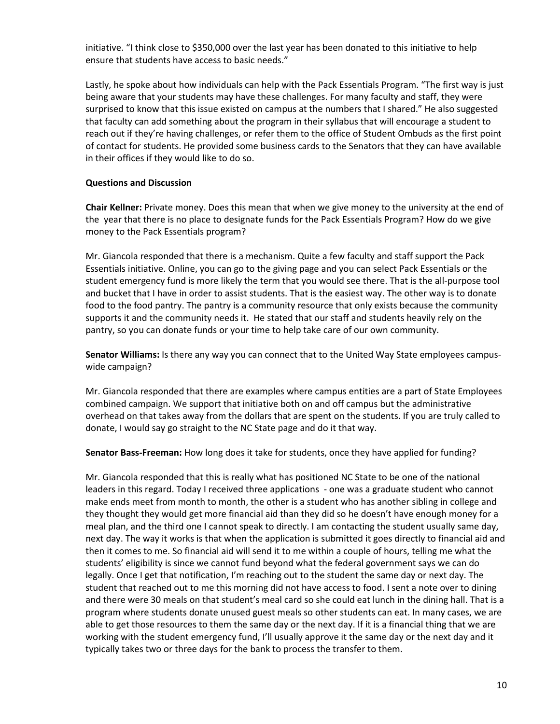initiative. "I think close to \$350,000 over the last year has been donated to this initiative to help ensure that students have access to basic needs."

Lastly, he spoke about how individuals can help with the Pack Essentials Program. "The first way is just being aware that your students may have these challenges. For many faculty and staff, they were surprised to know that this issue existed on campus at the numbers that I shared." He also suggested that faculty can add something about the program in their syllabus that will encourage a student to reach out if they're having challenges, or refer them to the office of Student Ombuds as the first point of contact for students. He provided some business cards to the Senators that they can have available in their offices if they would like to do so.

### **Questions and Discussion**

**Chair Kellner:** Private money. Does this mean that when we give money to the university at the end of the year that there is no place to designate funds for the Pack Essentials Program? How do we give money to the Pack Essentials program?

Mr. Giancola responded that there is a mechanism. Quite a few faculty and staff support the Pack Essentials initiative. Online, you can go to the giving page and you can select Pack Essentials or the student emergency fund is more likely the term that you would see there. That is the all-purpose tool and bucket that I have in order to assist students. That is the easiest way. The other way is to donate food to the food pantry. The pantry is a community resource that only exists because the community supports it and the community needs it. He stated that our staff and students heavily rely on the pantry, so you can donate funds or your time to help take care of our own community.

**Senator Williams:** Is there any way you can connect that to the United Way State employees campuswide campaign?

Mr. Giancola responded that there are examples where campus entities are a part of State Employees combined campaign. We support that initiative both on and off campus but the administrative overhead on that takes away from the dollars that are spent on the students. If you are truly called to donate, I would say go straight to the NC State page and do it that way.

**Senator Bass-Freeman:** How long does it take for students, once they have applied for funding?

Mr. Giancola responded that this is really what has positioned NC State to be one of the national leaders in this regard. Today I received three applications - one was a graduate student who cannot make ends meet from month to month, the other is a student who has another sibling in college and they thought they would get more financial aid than they did so he doesn't have enough money for a meal plan, and the third one I cannot speak to directly. I am contacting the student usually same day, next day. The way it works is that when the application is submitted it goes directly to financial aid and then it comes to me. So financial aid will send it to me within a couple of hours, telling me what the students' eligibility is since we cannot fund beyond what the federal government says we can do legally. Once I get that notification, I'm reaching out to the student the same day or next day. The student that reached out to me this morning did not have access to food. I sent a note over to dining and there were 30 meals on that student's meal card so she could eat lunch in the dining hall. That is a program where students donate unused guest meals so other students can eat. In many cases, we are able to get those resources to them the same day or the next day. If it is a financial thing that we are working with the student emergency fund, I'll usually approve it the same day or the next day and it typically takes two or three days for the bank to process the transfer to them.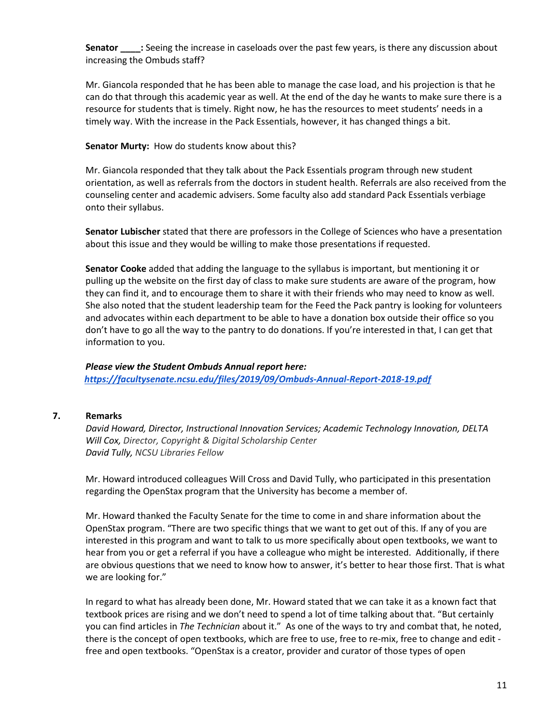**Senator \_\_\_\_:** Seeing the increase in caseloads over the past few years, is there any discussion about increasing the Ombuds staff?

Mr. Giancola responded that he has been able to manage the case load, and his projection is that he can do that through this academic year as well. At the end of the day he wants to make sure there is a resource for students that is timely. Right now, he has the resources to meet students' needs in a timely way. With the increase in the Pack Essentials, however, it has changed things a bit.

### **Senator Murty:** How do students know about this?

Mr. Giancola responded that they talk about the Pack Essentials program through new student orientation, as well as referrals from the doctors in student health. Referrals are also received from the counseling center and academic advisers. Some faculty also add standard Pack Essentials verbiage onto their syllabus.

**Senator Lubischer** stated that there are professors in the College of Sciences who have a presentation about this issue and they would be willing to make those presentations if requested.

**Senator Cooke** added that adding the language to the syllabus is important, but mentioning it or pulling up the website on the first day of class to make sure students are aware of the program, how they can find it, and to encourage them to share it with their friends who may need to know as well. She also noted that the student leadership team for the Feed the Pack pantry is looking for volunteers and advocates within each department to be able to have a donation box outside their office so you don't have to go all the way to the pantry to do donations. If you're interested in that, I can get that information to you.

### *Please view the Student Ombuds Annual report here: <https://facultysenate.ncsu.edu/files/2019/09/Ombuds-Annual-Report-2018-19.pdf>*

### **7. Remarks**

*David Howard, Director, Instructional Innovation Services; Academic Technology Innovation, DELTA Will Cox, Director, Copyright & Digital Scholarship Center David Tully, NCSU Libraries Fellow*

Mr. Howard introduced colleagues Will Cross and David Tully, who participated in this presentation regarding the OpenStax program that the University has become a member of.

Mr. Howard thanked the Faculty Senate for the time to come in and share information about the OpenStax program. "There are two specific things that we want to get out of this. If any of you are interested in this program and want to talk to us more specifically about open textbooks, we want to hear from you or get a referral if you have a colleague who might be interested. Additionally, if there are obvious questions that we need to know how to answer, it's better to hear those first. That is what we are looking for."

In regard to what has already been done, Mr. Howard stated that we can take it as a known fact that textbook prices are rising and we don't need to spend a lot of time talking about that. "But certainly you can find articles in *The Technician* about it." As one of the ways to try and combat that, he noted, there is the concept of open textbooks, which are free to use, free to re-mix, free to change and edit free and open textbooks. "OpenStax is a creator, provider and curator of those types of open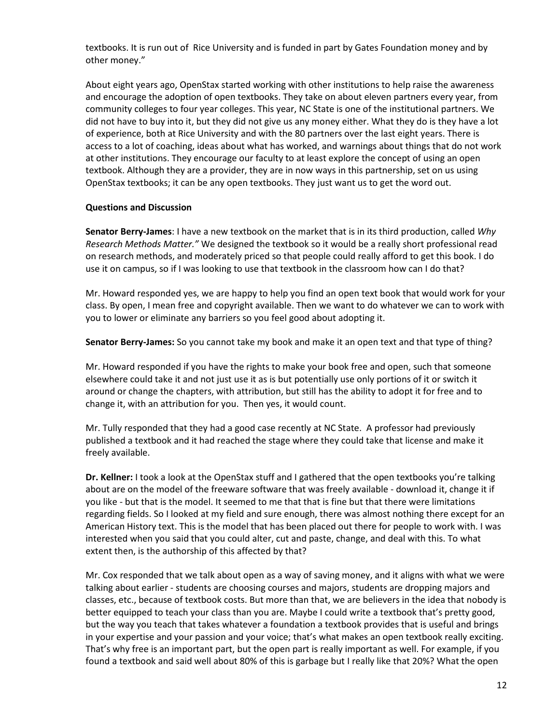textbooks. It is run out of Rice University and is funded in part by Gates Foundation money and by other money."

About eight years ago, OpenStax started working with other institutions to help raise the awareness and encourage the adoption of open textbooks. They take on about eleven partners every year, from community colleges to four year colleges. This year, NC State is one of the institutional partners. We did not have to buy into it, but they did not give us any money either. What they do is they have a lot of experience, both at Rice University and with the 80 partners over the last eight years. There is access to a lot of coaching, ideas about what has worked, and warnings about things that do not work at other institutions. They encourage our faculty to at least explore the concept of using an open textbook. Although they are a provider, they are in now ways in this partnership, set on us using OpenStax textbooks; it can be any open textbooks. They just want us to get the word out.

### **Questions and Discussion**

**Senator Berry-James**: I have a new textbook on the market that is in its third production, called *Why Research Methods Matter."* We designed the textbook so it would be a really short professional read on research methods, and moderately priced so that people could really afford to get this book. I do use it on campus, so if I was looking to use that textbook in the classroom how can I do that?

Mr. Howard responded yes, we are happy to help you find an open text book that would work for your class. By open, I mean free and copyright available. Then we want to do whatever we can to work with you to lower or eliminate any barriers so you feel good about adopting it.

**Senator Berry-James:** So you cannot take my book and make it an open text and that type of thing?

Mr. Howard responded if you have the rights to make your book free and open, such that someone elsewhere could take it and not just use it as is but potentially use only portions of it or switch it around or change the chapters, with attribution, but still has the ability to adopt it for free and to change it, with an attribution for you. Then yes, it would count.

Mr. Tully responded that they had a good case recently at NC State. A professor had previously published a textbook and it had reached the stage where they could take that license and make it freely available.

**Dr. Kellner:** I took a look at the OpenStax stuff and I gathered that the open textbooks you're talking about are on the model of the freeware software that was freely available - download it, change it if you like - but that is the model. It seemed to me that that is fine but that there were limitations regarding fields. So I looked at my field and sure enough, there was almost nothing there except for an American History text. This is the model that has been placed out there for people to work with. I was interested when you said that you could alter, cut and paste, change, and deal with this. To what extent then, is the authorship of this affected by that?

Mr. Cox responded that we talk about open as a way of saving money, and it aligns with what we were talking about earlier - students are choosing courses and majors, students are dropping majors and classes, etc., because of textbook costs. But more than that, we are believers in the idea that nobody is better equipped to teach your class than you are. Maybe I could write a textbook that's pretty good, but the way you teach that takes whatever a foundation a textbook provides that is useful and brings in your expertise and your passion and your voice; that's what makes an open textbook really exciting. That's why free is an important part, but the open part is really important as well. For example, if you found a textbook and said well about 80% of this is garbage but I really like that 20%? What the open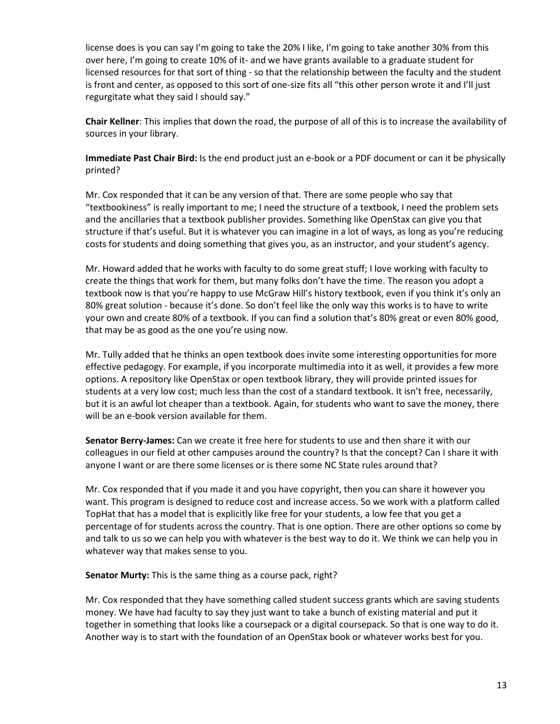license does is you can say I'm going to take the 20% I like, I'm going to take another 30% from this over here, I'm going to create 10% of it- and we have grants available to a graduate student for licensed resources for that sort of thing - so that the relationship between the faculty and the student is front and center, as opposed to this sort of one-size fits all "this other person wrote it and I'll just regurgitate what they said I should say."

**Chair Kellner**: This implies that down the road, the purpose of all of this is to increase the availability of sources in your library.

**Immediate Past Chair Bird:** Is the end product just an e-book or a PDF document or can it be physically printed?

Mr. Cox responded that it can be any version of that. There are some people who say that "textbookiness" is really important to me; I need the structure of a textbook, I need the problem sets and the ancillaries that a textbook publisher provides. Something like OpenStax can give you that structure if that's useful. But it is whatever you can imagine in a lot of ways, as long as you're reducing costs for students and doing something that gives you, as an instructor, and your student's agency.

Mr. Howard added that he works with faculty to do some great stuff; I love working with faculty to create the things that work for them, but many folks don't have the time. The reason you adopt a textbook now is that you're happy to use McGraw Hill's history textbook, even if you think it's only an 80% great solution - because it's done. So don't feel like the only way this works is to have to write your own and create 80% of a textbook. If you can find a solution that's 80% great or even 80% good, that may be as good as the one you're using now.

Mr. Tully added that he thinks an open textbook does invite some interesting opportunities for more effective pedagogy. For example, if you incorporate multimedia into it as well, it provides a few more options. A repository like OpenStax or open textbook library, they will provide printed issues for students at a very low cost; much less than the cost of a standard textbook. It isn't free, necessarily, but it is an awful lot cheaper than a textbook. Again, for students who want to save the money, there will be an e-book version available for them.

**Senator Berry-James:** Can we create it free here for students to use and then share it with our colleagues in our field at other campuses around the country? Is that the concept? Can I share it with anyone I want or are there some licenses or is there some NC State rules around that?

Mr. Cox responded that if you made it and you have copyright, then you can share it however you want. This program is designed to reduce cost and increase access. So we work with a platform called TopHat that has a model that is explicitly like free for your students, a low fee that you get a percentage of for students across the country. That is one option. There are other options so come by and talk to us so we can help you with whatever is the best way to do it. We think we can help you in whatever way that makes sense to you.

**Senator Murty:** This is the same thing as a course pack, right?

Mr. Cox responded that they have something called student success grants which are saving students money. We have had faculty to say they just want to take a bunch of existing material and put it together in something that looks like a coursepack or a digital coursepack. So that is one way to do it. Another way is to start with the foundation of an OpenStax book or whatever works best for you.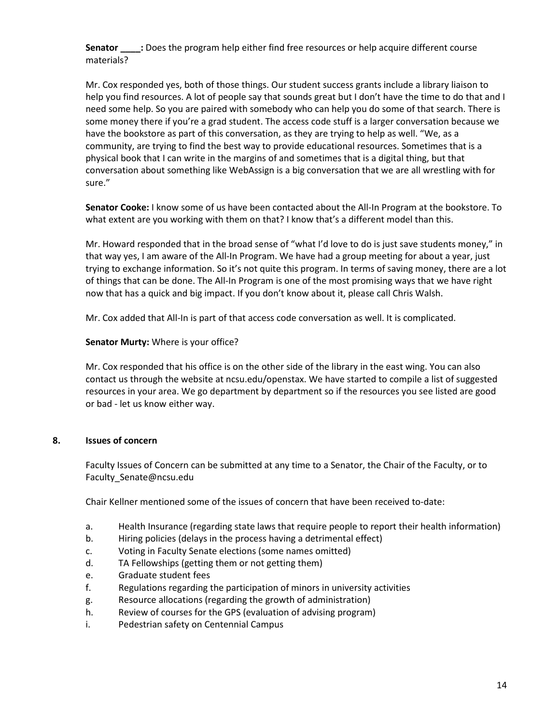**Senator** : Does the program help either find free resources or help acquire different course materials?

Mr. Cox responded yes, both of those things. Our student success grants include a library liaison to help you find resources. A lot of people say that sounds great but I don't have the time to do that and I need some help. So you are paired with somebody who can help you do some of that search. There is some money there if you're a grad student. The access code stuff is a larger conversation because we have the bookstore as part of this conversation, as they are trying to help as well. "We, as a community, are trying to find the best way to provide educational resources. Sometimes that is a physical book that I can write in the margins of and sometimes that is a digital thing, but that conversation about something like WebAssign is a big conversation that we are all wrestling with for sure."

**Senator Cooke:** I know some of us have been contacted about the All-In Program at the bookstore. To what extent are you working with them on that? I know that's a different model than this.

Mr. Howard responded that in the broad sense of "what I'd love to do is just save students money," in that way yes, I am aware of the All-In Program. We have had a group meeting for about a year, just trying to exchange information. So it's not quite this program. In terms of saving money, there are a lot of things that can be done. The All-In Program is one of the most promising ways that we have right now that has a quick and big impact. If you don't know about it, please call Chris Walsh.

Mr. Cox added that All-In is part of that access code conversation as well. It is complicated.

### **Senator Murty:** Where is your office?

Mr. Cox responded that his office is on the other side of the library in the east wing. You can also contact us through the website at ncsu.edu/openstax. We have started to compile a list of suggested resources in your area. We go department by department so if the resources you see listed are good or bad - let us know either way.

### **8. Issues of concern**

 Faculty Issues of Concern can be submitted at any time to a Senator, the Chair of the Faculty, or to [Faculty\\_Senate@ncsu.edu](mailto:Faculty_Senate@ncsu.edu)

Chair Kellner mentioned some of the issues of concern that have been received to-date:

- a. Health Insurance (regarding state laws that require people to report their health information)
- b. Hiring policies (delays in the process having a detrimental effect)
- c. Voting in Faculty Senate elections (some names omitted)
- d. TA Fellowships (getting them or not getting them)
- e. Graduate student fees
- f. Regulations regarding the participation of minors in university activities
- g. Resource allocations (regarding the growth of administration)
- h. Review of courses for the GPS (evaluation of advising program)
- i. Pedestrian safety on Centennial Campus